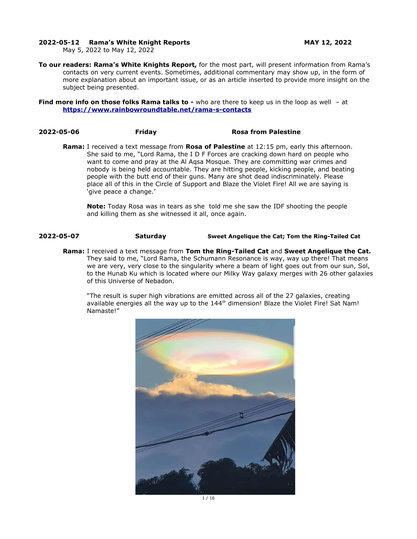### **2022-05-12 Rama's White Knight Reports MAY 12, 2022**

May 5, 2022 to May 12, 2022

**To our readers: Rama's White Knights Report,** for the most part, will present information from Rama's contacts on very current events. Sometimes, additional commentary may show up, in the form of more explanation about an important issue, or as an article inserted to provide more insight on the subject being presented.

**Find more info on those folks Rama talks to -** who are there to keep us in the loop as well - at **<https://www.rainbowroundtable.net/rama-s-contacts>**

| 2022-05-06<br>Friday | <b>Rosa from Palestine</b> |
|----------------------|----------------------------|
|----------------------|----------------------------|

**Rama:** I received a text message from **Rosa of Palestine** at 12:15 pm, early this afternoon. She said to me, "Lord Rama, the I D F Forces are cracking down hard on people who want to come and pray at the Al Aqsa Mosque. They are committing war crimes and nobody is being held accountable. They are hitting people, kicking people, and beating people with the butt end of their guns. Many are shot dead indiscriminately. Please place all of this in the Circle of Support and Blaze the Violet Fire! All we are saying is 'give peace a change.'

**Note:** Today Rosa was in tears as she told me she saw the IDF shooting the people and killing them as she witnessed it all, once again.

**2022-05-07 Saturday Sweet Angelique the Cat; Tom the Ring-Tailed Cat** 

**Rama:** I received a text message from **Tom the Ring-Tailed Cat** and **Sweet Angelique the Cat.** They said to me, "Lord Rama, the Schumann Resonance is way, way up there! That means we are very, very close to the singularity where a beam of light goes out from our sun, Sol, to the Hunab Ku which is located where our Milky Way galaxy merges with 26 other galaxies of this Universe of Nebadon.

"The result is super high vibrations are emitted across all of the 27 galaxies, creating available energies all the way up to the  $144<sup>th</sup>$  dimension! Blaze the Violet Fire! Sat Nam! Namaste!"

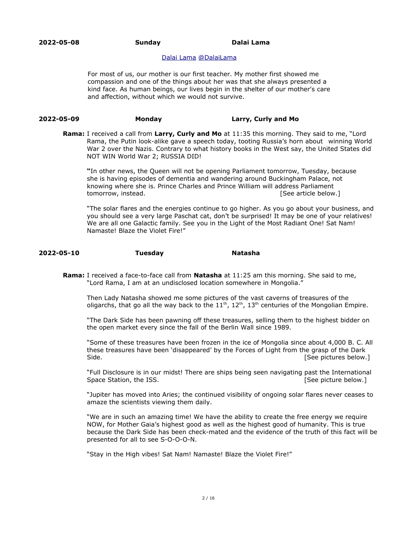#### [Dalai Lama](https://twitter.com/DalaiLama) [@DalaiLama](https://twitter.com/DalaiLama)

For most of us, our mother is our first teacher. My mother first showed me compassion and one of the things about her was that she always presented a kind face. As human beings, our lives begin in the shelter of our mother's care and affection, without which we would not survive.

### **2022-05-09 Monday Larry, Curly and Mo**

**Rama:** I received a call from **Larry, Curly and Mo** at 11:35 this morning. They said to me, "Lord Rama, the Putin look-alike gave a speech today, tooting Russia's horn about winning World War 2 over the Nazis. Contrary to what history books in the West say, the United States did NOT WIN World War 2; RUSSIA DID!

**"**In other news, the Queen will not be opening Parliament tomorrow, Tuesday, because she is having episodes of dementia and wandering around Buckingham Palace, not knowing where she is. Prince Charles and Prince William will address Parliament tomorrow, instead. The contract of the contract of the contract of the contract of the contract of the contract of the contract of the contract of the contract of the contract of the contract of the contract of the contrac

"The solar flares and the energies continue to go higher. As you go about your business, and you should see a very large Paschat cat, don't be surprised! It may be one of your relatives! We are all one Galactic family. See you in the Light of the Most Radiant One! Sat Nam! Namaste! Blaze the Violet Fire!"

### **2022-05-10 Tuesday Natasha**

**Rama:** I received a face-to-face call from **Natasha** at 11:25 am this morning. She said to me, "Lord Rama, I am at an undisclosed location somewhere in Mongolia."

Then Lady Natasha showed me some pictures of the vast caverns of treasures of the oligarchs, that go all the way back to the  $11^{th}$ ,  $12^{th}$ ,  $13^{th}$  centuries of the Mongolian Empire.

"The Dark Side has been pawning off these treasures, selling them to the highest bidder on the open market every since the fall of the Berlin Wall since 1989.

"Some of these treasures have been frozen in the ice of Mongolia since about 4,000 B. C. All these treasures have been 'disappeared' by the Forces of Light from the grasp of the Dark Side. **Side. Side. Side. Side. Side. Side. Side. Side. Side. Side. Side. Side. Side. Side. Side. Side. Side. Side. Side. Side. Side. Side. Side. Side. Side. Side. Side.**

"Full Disclosure is in our midst! There are ships being seen navigating past the International Space Station, the ISS. **Example 20** is the space Station, the ISS.

"Jupiter has moved into Aries; the continued visibility of ongoing solar flares never ceases to amaze the scientists viewing them daily.

"We are in such an amazing time! We have the ability to create the free energy we require NOW, for Mother Gaia's highest good as well as the highest good of humanity. This is true because the Dark Side has been check-mated and the evidence of the truth of this fact will be presented for all to see S-O-O-O-N.

"Stay in the High vibes! Sat Nam! Namaste! Blaze the Violet Fire!"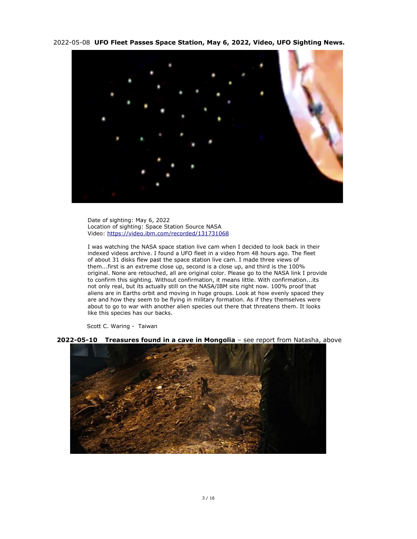2022-05-08 **UFO Fleet Passes Space Station, May 6, 2022, Video, UFO Sighting News.**



Date of sighting: May 6, 2022 Location of sighting: Space Station Source NASA Video:<https://video.ibm.com/recorded/131731068>

I was watching the NASA space station live cam when I decided to look back in their indexed videos archive. I found a UFO fleet in a video from 48 hours ago. The fleet of about 31 disks flew past the space station live cam. I made three views of them...first is an extreme close up, second is a close up, and third is the 100% original. None are retouched, all are original color. Please go to the NASA link I provide to confirm this sighting. Without confirmation, it means little. With confirmation...its not only real, but its actually still on the NASA/IBM site right now. 100% proof that aliens are in Earths orbit and moving in huge groups. Look at how evenly spaced they are and how they seem to be flying in military formation. As if they themselves were about to go to war with another alien species out there that threatens them. It looks like this species has our backs.

Scott C. Waring - Taiwan



**2022-05-10 Treasures found in a cave in Mongolia** – see report from Natasha, above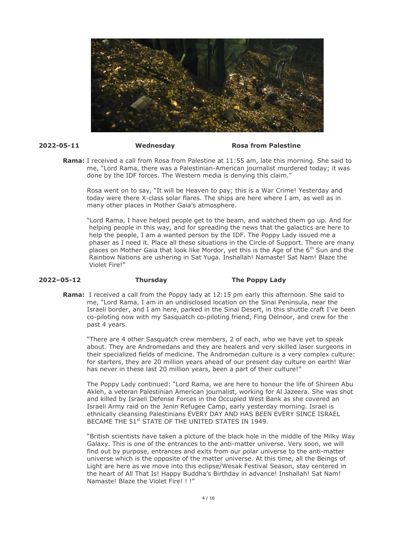

#### **2022-05-11 Wednesday Rosa from Palestine**

**Rama:** I received a call from Rosa from Palestine at 11:55 am, late this morning. She said to me, "Lord Rama, there was a Palestinian-American journalist murdered today; it was done by the IDF forces. The Western media is denying this claim."

Rosa went on to say, "It will be Heaven to pay; this is a War Crime! Yesterday and today were there X-class solar flares. The ships are here where I am, as well as in many other places in Mother Gaia's atmosphere.

"Lord Rama, I have helped people get to the beam, and watched them go up. And for helping people in this way, and for spreading the news that the galactics are here to help the people, I am a wanted person by the IDF. The Poppy Lady issued me a phaser as I need it. Place all these situations in the Circle of Support. There are many places on Mother Gaia that look like Mordor, yet this is the Age of the  $6<sup>th</sup>$  Sun and the Rainbow Nations are ushering in Sat Yuga. Inshallah! Namaste! Sat Nam! Blaze the Violet Fire!"

### **2022–05-12 Thursday The Poppy Lady**

**Rama:** I received a call from the Poppy lady at 12:15 pm early this afternoon. She said to me, "Lord Rama, I am in an undisclosed location on the Sinai Peninsula, near the Israeli border, and I am here, parked in the Sinai Desert, in this shuttle craft I've been co-piloting now with my Sasquatch co-piloting friend, Fing Delnoor, and crew for the past 4 years.

"There are 4 other Sasquatch crew members, 2 of each, who we have yet to speak about. They are Andromedans and they are healers and very skilled laser surgeons in their specialized fields of medicine. The Andromedan culture is a very complex culture: for starters, they are 20 million years ahead of our present day culture on earth! War has never in these last 20 million years, been a part of their culture!"

The Poppy Lady continued: "Lord Rama, we are here to honour the life of Shireen Abu Akleh, a veteran Palestinian American journalist, working for Al Jazeera. She was shot and killed by Israeli Defense Forces in the Occupied West Bank as she covered an Israeli Army raid on the Jenin Refugee Camp, early yesterday morning. Israel is ethnically cleansing Palestinians EVERY DAY AND HAS BEEN EVERY SINCE ISRAEL BECAME THE 51<sup>st</sup> STATE OF THE UNITED STATES IN 1949.

"British scientists have taken a picture of the black hole in the middle of the Milky Way Galaxy. This is one of the entrances to the anti-matter universe. Very soon, we will find out by purpose, entrances and exits from our polar universe to the anti-matter universe which is the opposite of the matter universe. At this time, all the Beings of Light are here as we move into this eclipse/Wesak Festival Season, stay centered in the heart of All That Is! Happy Buddha's Birthday in advance! Inshallah! Sat Nam! Namaste! Blaze the Violet Fire! ! !"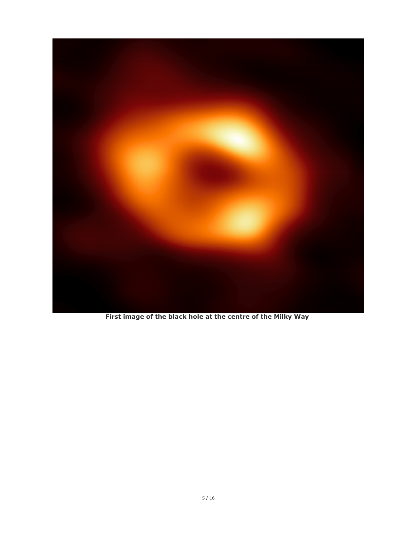

**First image of the black hole at the centre of the Milky Way**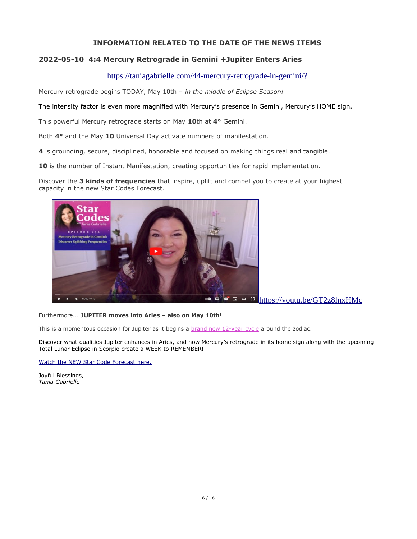# **INFORMATION RELATED TO THE DATE OF THE NEWS ITEMS**

# **2022-05-10 4:4 Mercury Retrograde in Gemini +Jupiter Enters Aries**

# https://taniagabrielle.com/44-mercury-retrograde-in-gemini/?

Mercury retrograde begins TODAY, May 10th – *in the middle of Eclipse Season!*

The intensity factor is even more magnified with Mercury's presence in Gemini, Mercury's HOME sign.

This powerful Mercury retrograde starts on May **10**th at **4°** Gemini.

Both **4°** and the May **10** Universal Day activate numbers of manifestation.

**4** is grounding, secure, disciplined, honorable and focused on making things real and tangible.

10 is the number of Instant Manifestation, creating opportunities for rapid implementation.

Discover the **3 kinds of frequencies** that inspire, uplift and compel you to create at your highest capacity in the new Star Codes Forecast.



 $\bullet$   $\bullet$   $\bullet$   $\bullet$   $\bullet$   $\bullet$  <https://youtu.be/GT2z8lnxHMc>

Furthermore... **JUPITER moves into Aries – also on May 10th!**

This is a momentous occasion for Jupiter as it begins a **[brand new 12-year cycle](https://taniagabrielle.keap-link019.com/v2/click/d39c51be719f853f9e93b1ac6e555d39/eJyVkFGLglAQRv_LPGuurkX5FhEhWg9L-xw3HWxYHS_jGEj43_fWLkEPBb2fOYdvLqDIhjUtIQE1TKYyRyGsawQPBAuyhKyrltUUNyr8jMJo5kFN_LORtreQXF5K7uDt-mO2iBYe6GDRwfuv5SpLd5tDnu4yx1ojrvamcR7G8-ldud4u0xzG8WkDG9L12WU6SFR6vM4syU3Vb6kdf1K1XRIEj9lJ0TZBHPsNStHL4AuqtJWYEn1iv3JSpsDZjbXI5f-_Mhz-GuMvk715ZA==) around the zodiac**.

Discover what qualities Jupiter enhances in Aries, and how Mercury's retrograde in its home sign along with the upcoming Total Lunar Eclipse in Scorpio create a WEEK to REMEMBER!

[Watch the NEW Star Code Forecast here.](https://taniagabrielle.keap-link018.com/v2/click/658bad642aaf06790a31913d4de15409/eJyVkEuLwlAMRv9L1q21tT6mOxGRUseF6FrutKEG2_QS04Ei_e9eHwguHJj9yTl8uYAiG9a0gATUMJnS_AhhVSF4IJiTJWRdNKwmv1PhKAqjiQcV8WklTWshufwpeYH36-HkK5p6oJ1FB--280WWblaHdbrJHGuNuNo_jbMwno1fyuX3PF1D339sYE26_HWZMyQqLd5mFuSm6l4qxx9V7TkJgvfsIG_qII79GiVvpfMFVZpSTIE-sV86KVPg7MZa5OL5rwy7R6O_ApHXeWI=)

Joyful Blessings, *Tania Gabrielle*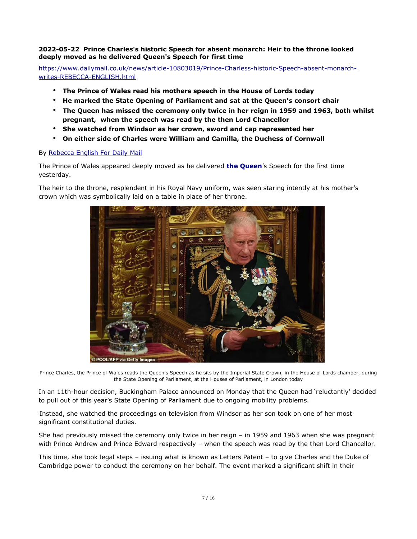# **2022-05-22 Prince Charles's historic Speech for absent monarch: Heir to the throne looked deeply moved as he delivered Queen's Speech for first time**

[https://www.dailymail.co.uk/news/article-10803019/Prince-Charless-historic-Speech-absent-monarch](https://www.dailymail.co.uk/news/article-10803019/Prince-Charless-historic-Speech-absent-monarch-writes-REBECCA-ENGLISH.html)[writes-REBECCA-ENGLISH.html](https://www.dailymail.co.uk/news/article-10803019/Prince-Charless-historic-Speech-absent-monarch-writes-REBECCA-ENGLISH.html)

- **The Prince of Wales read his mothers speech in the House of Lords today**
- **He marked the State Opening of Parliament and sat at the Queen's consort chair**
- **The Queen has missed the ceremony only twice in her reign in 1959 and 1963, both whilst pregnant, when the speech was read by the then Lord Chancellor**
- **She watched from Windsor as her crown, sword and cap represented her**
- **On either side of Charles were William and Camilla, the Duchess of Cornwall**

### By [Rebecca English For Daily Mail](https://www.dailymail.co.uk/home/search.html?s=&authornamef=Rebecca+English+For+Daily+Mail)

The Prince of Wales appeared deeply moved as he delivered **[the Queen](https://www.dailymail.co.uk/news/the_queen/index.html)**'s Speech for the first time yesterday.

The heir to the throne, resplendent in his Royal Navy uniform, was seen staring intently at his mother's crown which was symbolically laid on a table in place of her throne.



Prince Charles, the Prince of Wales reads the Queen's Speech as he sits by the Imperial State Crown, in the House of Lords chamber, during the State Opening of Parliament, at the Houses of Parliament, in London today

In an 11th-hour decision, Buckingham Palace announced on Monday that the Queen had 'reluctantly' decided to pull out of this year's State Opening of Parliament due to ongoing mobility problems.

**Object 1** Instead, she watched the proceedings on television from Windsor as her son took on one of her most significant constitutional duties.

She had previously missed the ceremony only twice in her reign – in 1959 and 1963 when she was pregnant with Prince Andrew and Prince Edward respectively – when the speech was read by the then Lord Chancellor.

This time, she took legal steps – issuing what is known as Letters Patent – to give Charles and the Duke of Cambridge power to conduct the ceremony on her behalf. The event marked a significant shift in their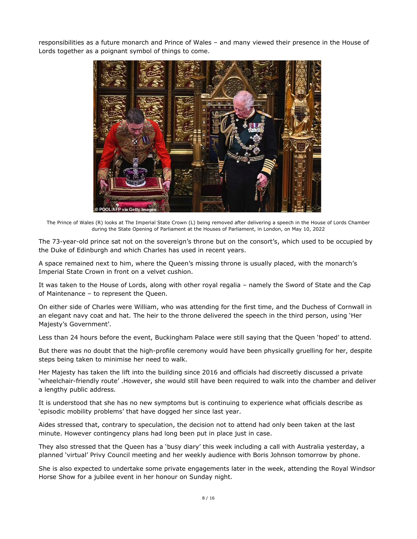responsibilities as a future monarch and Prince of Wales – and many viewed their presence in the House of Lords together as a poignant symbol of things to come.



The Prince of Wales (R) looks at The Imperial State Crown (L) being removed after delivering a speech in the House of Lords Chamber during the State Opening of Parliament at the Houses of Parliament, in London, on May 10, 2022

The 73-year-old prince sat not on the sovereign's throne but on the consort's, which used to be occupied by the Duke of Edinburgh and which Charles has used in recent years.

A space remained next to him, where the Queen's missing throne is usually placed, with the monarch's Imperial State Crown in front on a velvet cushion.

It was taken to the House of Lords, along with other royal regalia – namely the Sword of State and the Cap of Maintenance – to represent the Queen.

On either side of Charles were William, who was attending for the first time, and the Duchess of Cornwall in an elegant navy coat and hat. The heir to the throne delivered the speech in the third person, using 'Her Majesty's Government'.

Less than 24 hours before the event, Buckingham Palace were still saying that the Queen 'hoped' to attend.

But there was no doubt that the high-profile ceremony would have been physically gruelling for her, despite steps being taken to minimise her need to walk.

Her Majesty has taken the lift into the building since 2016 and officials had discreetly discussed a private 'wheelchair-friendly route' .However, she would still have been required to walk into the chamber and deliver a lengthy public address.

It is understood that she has no new symptoms but is continuing to experience what officials describe as 'episodic mobility problems' that have dogged her since last year.

Aides stressed that, contrary to speculation, the decision not to attend had only been taken at the last minute. However contingency plans had long been put in place just in case.

They also stressed that the Queen has a 'busy diary' this week including a call with Australia yesterday, a planned 'virtual' Privy Council meeting and her weekly audience with Boris Johnson tomorrow by phone.

She is also expected to undertake some private engagements later in the week, attending the Royal Windsor Horse Show for a jubilee event in her honour on Sunday night.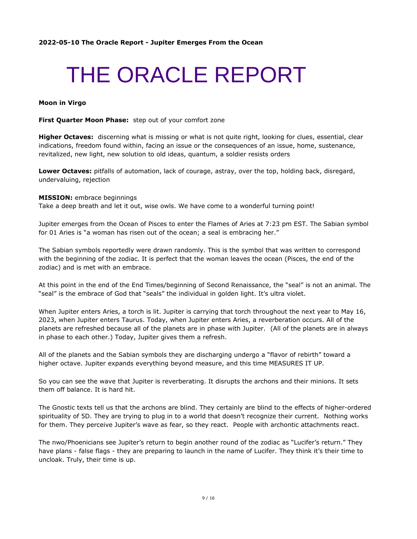# THE ORACLE REPORT

# **Moon in Virgo**

### **First Quarter Moon Phase:** step out of your comfort zone

**Higher Octaves:** discerning what is missing or what is not quite right, looking for clues, essential, clear indications, freedom found within, facing an issue or the consequences of an issue, home, sustenance, revitalized, new light, new solution to old ideas, quantum, a soldier resists orders

**Lower Octaves:** pitfalls of automation, lack of courage, astray, over the top, holding back, disregard, undervaluing, rejection

### **MISSION:** embrace beginnings

Take a deep breath and let it out, wise owls. We have come to a wonderful turning point!

Jupiter emerges from the Ocean of Pisces to enter the Flames of Aries at 7:23 pm EST. The Sabian symbol for 01 Aries is "a woman has risen out of the ocean; a seal is embracing her."

The Sabian symbols reportedly were drawn randomly. This is the symbol that was written to correspond with the beginning of the zodiac. It is perfect that the woman leaves the ocean (Pisces, the end of the zodiac) and is met with an embrace.

At this point in the end of the End Times/beginning of Second Renaissance, the "seal" is not an animal. The "seal" is the embrace of God that "seals" the individual in golden light. It's ultra violet.

When Jupiter enters Aries, a torch is lit. Jupiter is carrying that torch throughout the next year to May 16, 2023, when Jupiter enters Taurus. Today, when Jupiter enters Aries, a reverberation occurs. All of the planets are refreshed because all of the planets are in phase with Jupiter. (All of the planets are in always in phase to each other.) Today, Jupiter gives them a refresh.

All of the planets and the Sabian symbols they are discharging undergo a "flavor of rebirth" toward a higher octave. Jupiter expands everything beyond measure, and this time MEASURES IT UP.

So you can see the wave that Jupiter is reverberating. It disrupts the archons and their minions. It sets them off balance. It is hard hit.

The Gnostic texts tell us that the archons are blind. They certainly are blind to the effects of higher-ordered spirituality of 5D. They are trying to plug in to a world that doesn't recognize their current. Nothing works for them. They perceive Jupiter's wave as fear, so they react. People with archontic attachments react.

The nwo/Phoenicians see Jupiter's return to begin another round of the zodiac as "Lucifer's return." They have plans - false flags - they are preparing to launch in the name of Lucifer. They think it's their time to uncloak. Truly, their time is up.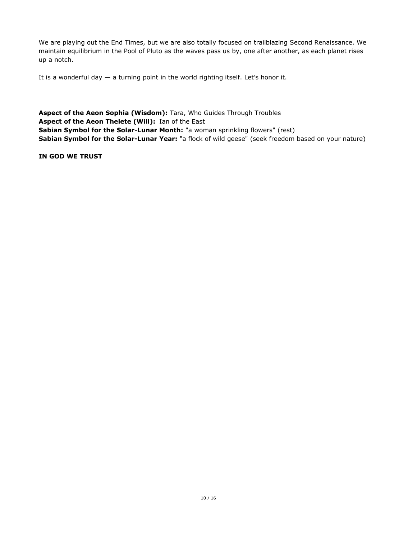We are playing out the End Times, but we are also totally focused on trailblazing Second Renaissance. We maintain equilibrium in the Pool of Pluto as the waves pass us by, one after another, as each planet rises up a notch.

It is a wonderful day  $-$  a turning point in the world righting itself. Let's honor it.

**Aspect of the Aeon Sophia (Wisdom):** Tara, Who Guides Through Troubles **Aspect of the Aeon Thelete (Will):** Ian of the East **Sabian Symbol for the Solar-Lunar Month:** "a woman sprinkling flowers" (rest) **Sabian Symbol for the Solar-Lunar Year:** "a flock of wild geese" (seek freedom based on your nature)

**IN GOD WE TRUST**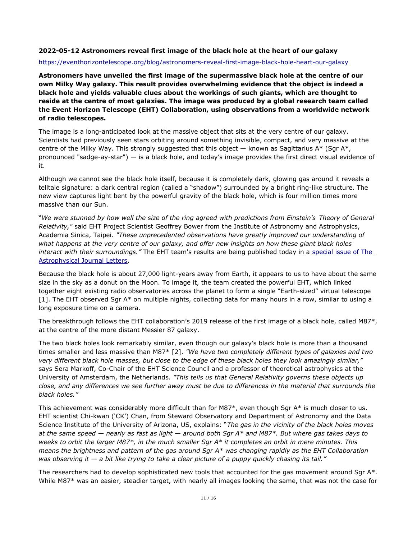# **2022-05-12 Astronomers reveal first image of the black hole at the heart of our galaxy**

### <https://eventhorizontelescope.org/blog/astronomers-reveal-first-image-black-hole-heart-our-galaxy>

**Astronomers have unveiled the first image of the supermassive black hole at the centre of our own Milky Way galaxy. This result provides overwhelming evidence that the object is indeed a black hole and yields valuable clues about the workings of such giants, which are thought to reside at the centre of most galaxies. The image was produced by a global research team called the Event Horizon Telescope (EHT) Collaboration, using observations from a worldwide network of radio telescopes.**

The image is a long-anticipated look at the massive object that sits at the very centre of our galaxy. Scientists had previously seen stars orbiting around something invisible, compact, and very massive at the centre of the Milky Way. This strongly suggested that this object  $-$  known as Sagittarius A\* (Sgr A\*, pronounced "sadge-ay-star") — is a black hole, and today's image provides the first direct visual evidence of it.

Although we cannot see the black hole itself, because it is completely dark, glowing gas around it reveals a telltale signature: a dark central region (called a "shadow") surrounded by a bright ring-like structure. The new view captures light bent by the powerful gravity of the black hole, which is four million times more massive than our Sun.

"*We were stunned by how well the size of the ring agreed with predictions from Einstein's Theory of General Relativity,"* said EHT Project Scientist Geoffrey Bower from the Institute of Astronomy and Astrophysics, Academia Sinica, Taipei. *"These unprecedented observations have greatly improved our understanding of what happens at the very centre of our galaxy, and offer new insights on how these giant black holes interact with their surroundings."* The EHT team's results are being published today in a [special issue of The](https://iopscience.iop.org/journal/2041-8205/page/Focus_on_First_Sgr_A_Results)  [Astrophysical Journal Letters](https://iopscience.iop.org/journal/2041-8205/page/Focus_on_First_Sgr_A_Results).

Because the black hole is about 27,000 light-years away from Earth, it appears to us to have about the same size in the sky as a donut on the Moon. To image it, the team created the powerful EHT, which linked together eight existing radio observatories across the planet to form a single "Earth-sized" virtual telescope [1]. The EHT observed Sgr A\* on multiple nights, collecting data for many hours in a row, similar to using a long exposure time on a camera.

The breakthrough follows the EHT collaboration's 2019 release of the first image of a black hole, called M87\*, at the centre of the more distant Messier 87 galaxy.

The two black holes look remarkably similar, even though our galaxy's black hole is more than a thousand times smaller and less massive than M87\* [2]. *"We have two completely different types of galaxies and two very different black hole masses, but close to the edge of these black holes they look amazingly similar,"*  says Sera Markoff, Co-Chair of the EHT Science Council and a professor of theoretical astrophysics at the University of Amsterdam, the Netherlands. *"This tells us that General Relativity governs these objects up close, and any differences we see further away must be due to differences in the material that surrounds the black holes."*

This achievement was considerably more difficult than for M87\*, even though Sgr A\* is much closer to us. EHT scientist Chi-kwan ('CK') Chan, from Steward Observatory and Department of Astronomy and the Data Science Institute of the University of Arizona, US, explains: "*The gas in the vicinity of the black holes moves at the same speed — nearly as fast as light — around both Sgr A\* and M87\*. But where gas takes days to weeks to orbit the larger M87\*, in the much smaller Sgr A\* it completes an orbit in mere minutes. This means the brightness and pattern of the gas around Sgr A\* was changing rapidly as the EHT Collaboration was observing it — a bit like trying to take a clear picture of a puppy quickly chasing its tail."*

The researchers had to develop sophisticated new tools that accounted for the gas movement around Sgr A\*. While M87\* was an easier, steadier target, with nearly all images looking the same, that was not the case for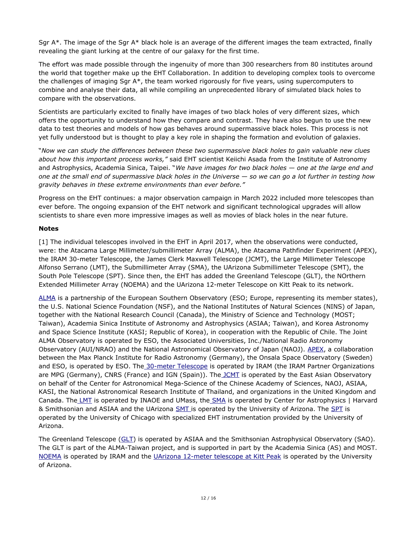Sgr  $A^*$ . The image of the Sgr  $A^*$  black hole is an average of the different images the team extracted, finally revealing the giant lurking at the centre of our galaxy for the first time.

The effort was made possible through the ingenuity of more than 300 researchers from 80 institutes around the world that together make up the EHT Collaboration. In addition to developing complex tools to overcome the challenges of imaging Sgr A\*, the team worked rigorously for five years, using supercomputers to combine and analyse their data, all while compiling an unprecedented library of simulated black holes to compare with the observations.

Scientists are particularly excited to finally have images of two black holes of very different sizes, which offers the opportunity to understand how they compare and contrast. They have also begun to use the new data to test theories and models of how gas behaves around supermassive black holes. This process is not yet fully understood but is thought to play a key role in shaping the formation and evolution of galaxies.

"*Now we can study the differences between these two supermassive black holes to gain valuable new clues about how this important process works,"* said EHT scientist Keiichi Asada from the Institute of Astronomy and Astrophysics, Academia Sinica, Taipei. "*We have images for two black holes — one at the large end and one at the small end of supermassive black holes in the Universe — so we can go a lot further in testing how gravity behaves in these extreme environments than ever before."*

Progress on the EHT continues: a major observation campaign in March 2022 included more telescopes than ever before. The ongoing expansion of the EHT network and significant technological upgrades will allow scientists to share even more impressive images as well as movies of black holes in the near future.

# **Notes**

[1] The individual telescopes involved in the EHT in April 2017, when the observations were conducted, were: the Atacama Large Millimeter/submillimeter Array (ALMA), the Atacama Pathfinder Experiment (APEX), the IRAM 30-meter Telescope, the James Clerk Maxwell Telescope (JCMT), the Large Millimeter Telescope Alfonso Serrano (LMT), the Submillimeter Array (SMA), the UArizona Submillimeter Telescope (SMT), the South Pole Telescope (SPT). Since then, the EHT has added the Greenland Telescope (GLT), the NOrthern Extended Millimeter Array (NOEMA) and the UArizona 12-meter Telescope on Kitt Peak to its network.

[ALMA](https://www.almaobservatory.org/en/home/) is a partnership of the European Southern Observatory (ESO; Europe, representing its member states), the U.S. National Science Foundation (NSF), and the National Institutes of Natural Sciences (NINS) of Japan, together with the National Research Council (Canada), the Ministry of Science and Technology (MOST; Taiwan), Academia Sinica Institute of Astronomy and Astrophysics (ASIAA; Taiwan), and Korea Astronomy and Space Science Institute (KASI; Republic of Korea), in cooperation with the Republic of Chile. The Joint ALMA Observatory is operated by ESO, the Associated Universities, Inc./National Radio Astronomy Observatory (AUI/NRAO) and the National Astronomical Observatory of Japan (NAOJ). [APEX](https://www.eso.org/public/teles-instr/apex/), a collaboration between the Max Planck Institute for Radio Astronomy (Germany), the Onsala Space Observatory (Sweden) and ESO, is operated by ESO. The [30-meter Telescope](http://www.iram-institute.org/EN/30-meter-telescope.php) is operated by IRAM (the IRAM Partner Organizations are MPG (Germany), CNRS (France) and IGN (Spain)). The [JCMT](https://www.eaobservatory.org/jcmt/) is operated by the East Asian Observatory on behalf of the Center for Astronomical Mega-Science of the Chinese Academy of Sciences, NAOJ, ASIAA, KASI, the National Astronomical Research Institute of Thailand, and organizations in the United Kingdom and Canada. The [LMT](http://www.lmtgtm.org/?lang=en) is operated by INAOE and UMass, th[e SMA](https://www.cfa.harvard.edu/sma/) is operated by Center for Astrophysics | Harvard & Smithsonian and ASIAA and the UArizona [SMT](https://aro.as.arizona.edu/?q=facilities/submillimeter-telescope) is operated by the University of Arizona. The [SPT](https://pole.uchicago.edu/) is operated by the University of Chicago with specialized EHT instrumentation provided by the University of Arizona.

The Greenland Telescope ([GLT](https://lweb.cfa.harvard.edu/greenland12m/)) is operated by ASIAA and the Smithsonian Astrophysical Observatory (SAO). The GLT is part of the ALMA-Taiwan project, and is supported in part by the Academia Sinica (AS) and MOST. [NOEMA](https://www.iram-institute.org/EN/content-page-56-7-56-0-0-0.html) is operated by IRAM and the [UArizona 12-meter telescope at Kitt Peak](https://aro.as.arizona.edu/?q=facilities/12m-telescope) is operated by the University of Arizona.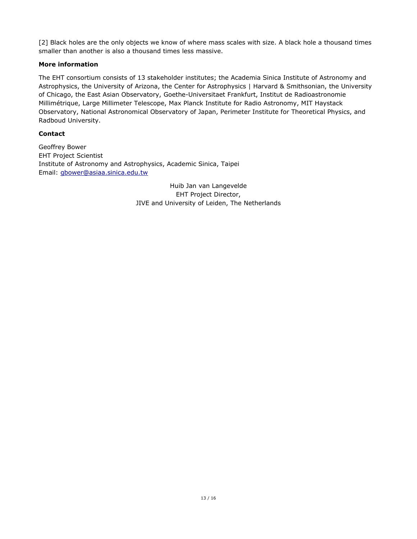[2] Black holes are the only objects we know of where mass scales with size. A black hole a thousand times smaller than another is also a thousand times less massive.

# **More information**

The EHT consortium consists of 13 stakeholder institutes; the Academia Sinica Institute of Astronomy and Astrophysics, the University of Arizona, the Center for Astrophysics | Harvard & Smithsonian, the University of Chicago, the East Asian Observatory, Goethe-Universitaet Frankfurt, Institut de Radioastronomie Millimétrique, Large Millimeter Telescope, Max Planck Institute for Radio Astronomy, MIT Haystack Observatory, National Astronomical Observatory of Japan, Perimeter Institute for Theoretical Physics, and Radboud University.

# **Contact**

Geoffrey Bower EHT Project Scientist Institute of Astronomy and Astrophysics, Academic Sinica, Taipei Email: [gbower@asiaa.sinica.edu.tw](mailto:gbower@asiaa.sinica.edu.tw)

> Huib Jan van Langevelde EHT Project Director, JIVE and University of Leiden, The Netherlands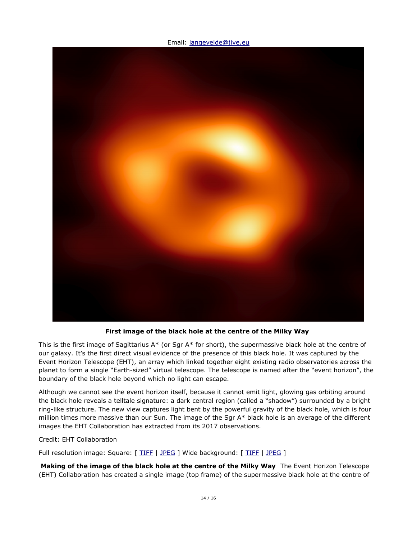Email: [langevelde@jive.eu](mailto:langevelde@jive.eu)



**First image of the black hole at the centre of the Milky Way**

This is the first image of Sagittarius  $A^*$  (or Sgr  $A^*$  for short), the supermassive black hole at the centre of our galaxy. It's the first direct visual evidence of the presence of this black hole. It was captured by the Event Horizon Telescope (EHT), an array which linked together eight existing radio observatories across the planet to form a single "Earth-sized" virtual telescope. The telescope is named after the "event horizon", the boundary of the black hole beyond which no light can escape.

Although we cannot see the event horizon itself, because it cannot emit light, glowing gas orbiting around the black hole reveals a telltale signature: a dark central region (called a "shadow") surrounded by a bright ring-like structure. The new view captures light bent by the powerful gravity of the black hole, which is four million times more massive than our Sun. The image of the Sgr A\* black hole is an average of the different images the EHT Collaboration has extracted from its 2017 observations.

# Credit: EHT Collaboration

Full resolution image: Square: [ [TIFF](https://cdn.eso.org/images/original/eso2208-eht-mwa.tif) | [JPEG](https://cdn.eso.org/images/large/eso2208-eht-mwa.jpg) ] Wide background: [ [TIFF](https://cdn.eso.org/images/original/eso2208-eht-mwh.tif) | [JPEG](https://cdn.eso.org/images/large/eso2208-eht-mwh.jpg) ]

**Making of the image of the black hole at the centre of the Milky Way** The Event Horizon Telescope (EHT) Collaboration has created a single image (top frame) of the supermassive black hole at the centre of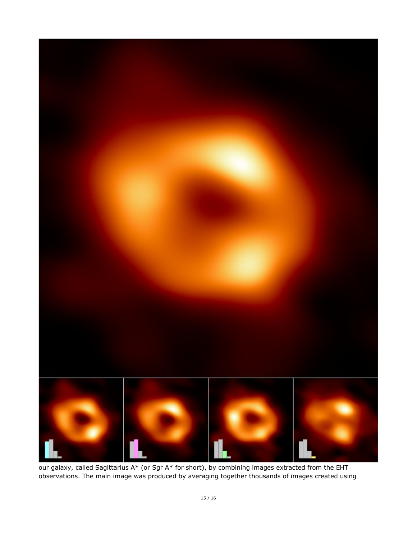

our galaxy, called Sagittarius A\* (or Sgr A\* for short), by combining images extracted from the EHT observations. The main image was produced by averaging together thousands of images created using